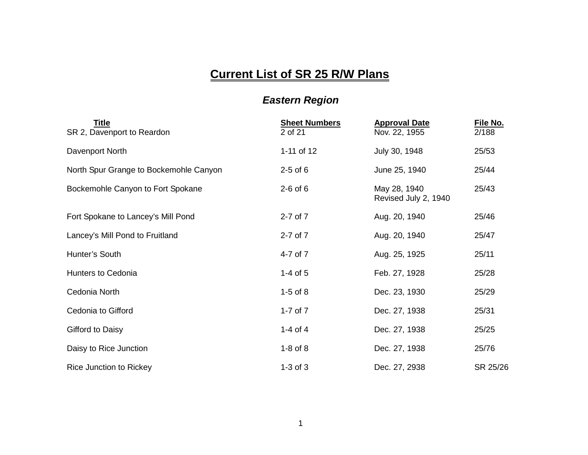## **Current List of SR 25 R/W Plans**

## *Eastern Region*

| Title<br>SR 2, Davenport to Reardon    | <b>Sheet Numbers</b><br>2 of 21 | <b>Approval Date</b><br>Nov. 22, 1955 | File No.<br>2/188 |
|----------------------------------------|---------------------------------|---------------------------------------|-------------------|
| Davenport North                        | 1-11 of 12                      | July 30, 1948                         | 25/53             |
| North Spur Grange to Bockemohle Canyon | $2-5$ of 6                      | June 25, 1940                         | 25/44             |
| Bockemohle Canyon to Fort Spokane      | $2-6$ of $6$                    | May 28, 1940<br>Revised July 2, 1940  | 25/43             |
| Fort Spokane to Lancey's Mill Pond     | 2-7 of 7                        | Aug. 20, 1940                         | 25/46             |
| Lancey's Mill Pond to Fruitland        | 2-7 of 7                        | Aug. 20, 1940                         | 25/47             |
| Hunter's South                         | 4-7 of 7                        | Aug. 25, 1925                         | 25/11             |
| <b>Hunters to Cedonia</b>              | $1-4$ of 5                      | Feb. 27, 1928                         | 25/28             |
| Cedonia North                          | $1-5$ of $8$                    | Dec. 23, 1930                         | 25/29             |
| Cedonia to Gifford                     | 1-7 of $7$                      | Dec. 27, 1938                         | 25/31             |
| Gifford to Daisy                       | 1-4 of 4                        | Dec. 27, 1938                         | 25/25             |
| Daisy to Rice Junction                 | $1-8$ of $8$                    | Dec. 27, 1938                         | 25/76             |
| Rice Junction to Rickey                | $1-3$ of $3$                    | Dec. 27, 2938                         | SR 25/26          |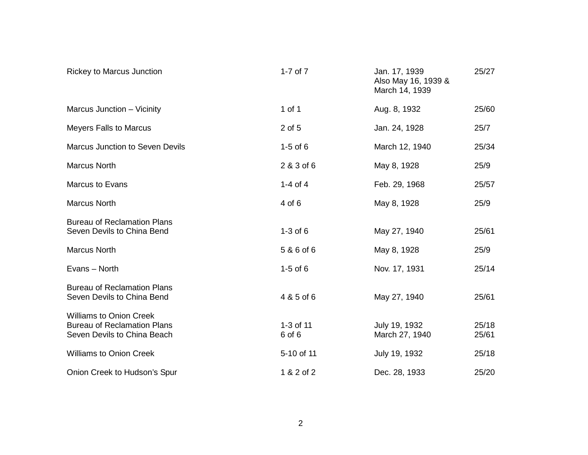| <b>Rickey to Marcus Junction</b>                                                                    | 1-7 of $7$          | Jan. 17, 1939<br>Also May 16, 1939 &<br>March 14, 1939 | 25/27          |
|-----------------------------------------------------------------------------------------------------|---------------------|--------------------------------------------------------|----------------|
| Marcus Junction - Vicinity                                                                          | 1 of 1              | Aug. 8, 1932                                           | 25/60          |
| <b>Meyers Falls to Marcus</b>                                                                       | 2 of 5              | Jan. 24, 1928                                          | 25/7           |
| <b>Marcus Junction to Seven Devils</b>                                                              | $1-5$ of $6$        | March 12, 1940                                         | 25/34          |
| <b>Marcus North</b>                                                                                 | 2 & 3 of 6          | May 8, 1928                                            | 25/9           |
| <b>Marcus to Evans</b>                                                                              | 1-4 of 4            | Feb. 29, 1968                                          | 25/57          |
| <b>Marcus North</b>                                                                                 | 4 of 6              | May 8, 1928                                            | 25/9           |
| <b>Bureau of Reclamation Plans</b><br>Seven Devils to China Bend                                    | $1-3$ of $6$        | May 27, 1940                                           | 25/61          |
| <b>Marcus North</b>                                                                                 | 5 & 6 of 6          | May 8, 1928                                            | 25/9           |
| Evans - North                                                                                       | $1-5$ of $6$        | Nov. 17, 1931                                          | 25/14          |
| <b>Bureau of Reclamation Plans</b><br>Seven Devils to China Bend                                    | 4 & 5 of 6          | May 27, 1940                                           | 25/61          |
| <b>Williams to Onion Creek</b><br><b>Bureau of Reclamation Plans</b><br>Seven Devils to China Beach | 1-3 of 11<br>6 of 6 | July 19, 1932<br>March 27, 1940                        | 25/18<br>25/61 |
| <b>Williams to Onion Creek</b>                                                                      | 5-10 of 11          | July 19, 1932                                          | 25/18          |
| Onion Creek to Hudson's Spur                                                                        | 1 & 2 of 2          | Dec. 28, 1933                                          | 25/20          |